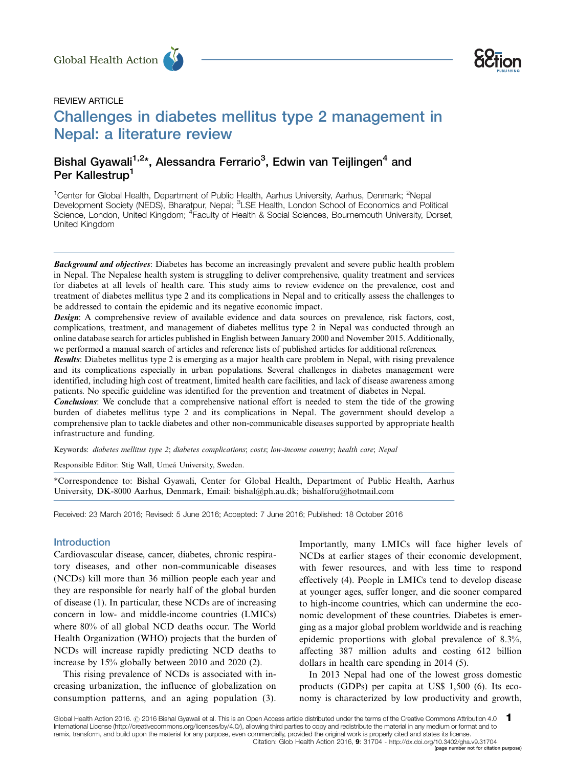





# Challenges in diabetes mellitus type 2 management in Nepal: a literature review Global Health Action<br>
REVIEW ARTICLE<br>
Challenges in diabetes mellitus type 2 management in

# Bishal Gyawali<sup>1,2</sup>\*, Alessandra Ferrario<sup>3</sup>, Edwin van Teijlingen<sup>4</sup> and Per Kallestrup<sup>1</sup>

<sup>1</sup>Center for Global Health, Department of Public Health, Aarhus University, Aarhus, Denmark; <sup>2</sup>Nepal Development Society (NEDS), Bharatpur, Nepal; <sup>3</sup>LSE Health, London School of Economics and Political Science, London, United Kingdom; <sup>4</sup>Faculty of Health & Social Sciences, Bournemouth University, Dorset, United Kingdom

**Background and objectives:** Diabetes has become an increasingly prevalent and severe public health problem in Nepal. The Nepalese health system is struggling to deliver comprehensive, quality treatment and services for diabetes at all levels of health care. This study aims to review evidence on the prevalence, cost and treatment of diabetes mellitus type 2 and its complications in Nepal and to critically assess the challenges to be addressed to contain the epidemic and its negative economic impact.

**Design:** A comprehensive review of available evidence and data sources on prevalence, risk factors, cost, complications, treatment, and management of diabetes mellitus type 2 in Nepal was conducted through an online database search for articles published in English between January 2000 and November 2015. Additionally, we performed a manual search of articles and reference lists of published articles for additional references.

Results: Diabetes mellitus type 2 is emerging as a major health care problem in Nepal, with rising prevalence and its complications especially in urban populations. Several challenges in diabetes management were identified, including high cost of treatment, limited health care facilities, and lack of disease awareness among patients. No specific guideline was identified for the prevention and treatment of diabetes in Nepal.

**Conclusions:** We conclude that a comprehensive national effort is needed to stem the tide of the growing burden of diabetes mellitus type 2 and its complications in Nepal. The government should develop a comprehensive plan to tackle diabetes and other non-communicable diseases supported by appropriate health infrastructure and funding.

Keywords: diabetes mellitus type 2; diabetes complications; costs; low-income country; health care; Nepal

Responsible Editor: Stig Wall, Umeå University, Sweden.

\*Correspondence to: Bishal Gyawali, Center for Global Health, Department of Public Health, Aarhus University, DK-8000 Aarhus, Denmark, Email: bishal@ph.au.dk; bishalforu@hotmail.com

Received: 23 March 2016; Revised: 5 June 2016; Accepted: 7 June 2016; Published: 18 October 2016

#### Introduction

Cardiovascular disease, cancer, diabetes, chronic respiratory diseases, and other non-communicable diseases (NCDs) kill more than 36 million people each year and they are responsible for nearly half of the global burden of disease (1). In particular, these NCDs are of increasing concern in low- and middle-income countries (LMICs) where 80% of all global NCD deaths occur. The World Health Organization (WHO) projects that the burden of NCDs will increase rapidly predicting NCD deaths to increase by 15% globally between 2010 and 2020 (2).

This rising prevalence of NCDs is associated with increasing urbanization, the influence of globalization on consumption patterns, and an aging population (3). Importantly, many LMICs will face higher levels of NCDs at earlier stages of their economic development, with fewer resources, and with less time to respond effectively (4). People in LMICs tend to develop disease at younger ages, suffer longer, and die sooner compared to high-income countries, which can undermine the economic development of these countries. Diabetes is emerging as a major global problem worldwide and is reaching epidemic proportions with global prevalence of 8.3%, affecting 387 million adults and costing 612 billion dollars in health care spending in 2014 (5).

In 2013 Nepal had one of the lowest gross domestic products (GDPs) per capita at US\$ 1,500 (6). Its economy is characterized by low productivity and growth,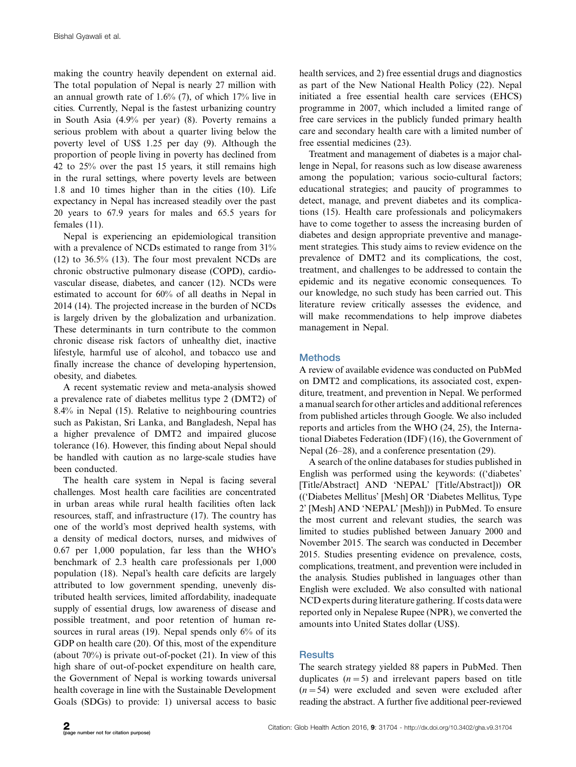making the country heavily dependent on external aid. The total population of Nepal is nearly 27 million with an annual growth rate of 1.6% (7), of which 17% live in cities. Currently, Nepal is the fastest urbanizing country in South Asia (4.9% per year) (8). Poverty remains a serious problem with about a quarter living below the poverty level of US\$ 1.25 per day (9). Although the proportion of people living in poverty has declined from 42 to 25% over the past 15 years, it still remains high in the rural settings, where poverty levels are between 1.8 and 10 times higher than in the cities (10). Life expectancy in Nepal has increased steadily over the past 20 years to 67.9 years for males and 65.5 years for females (11).

Nepal is experiencing an epidemiological transition with a prevalence of NCDs estimated to range from  $31\%$ (12) to 36.5% (13). The four most prevalent NCDs are chronic obstructive pulmonary disease (COPD), cardiovascular disease, diabetes, and cancer (12). NCDs were estimated to account for 60% of all deaths in Nepal in 2014 (14). The projected increase in the burden of NCDs is largely driven by the globalization and urbanization. These determinants in turn contribute to the common chronic disease risk factors of unhealthy diet, inactive lifestyle, harmful use of alcohol, and tobacco use and finally increase the chance of developing hypertension, obesity, and diabetes.

A recent systematic review and meta-analysis showed a prevalence rate of diabetes mellitus type 2 (DMT2) of 8.4% in Nepal (15). Relative to neighbouring countries such as Pakistan, Sri Lanka, and Bangladesh, Nepal has a higher prevalence of DMT2 and impaired glucose tolerance (16). However, this finding about Nepal should be handled with caution as no large-scale studies have been conducted.

The health care system in Nepal is facing several challenges. Most health care facilities are concentrated in urban areas while rural health facilities often lack resources, staff, and infrastructure (17). The country has one of the world's most deprived health systems, with a density of medical doctors, nurses, and midwives of 0.67 per 1,000 population, far less than the WHO's benchmark of 2.3 health care professionals per 1,000 population (18). Nepal's health care deficits are largely attributed to low government spending, unevenly distributed health services, limited affordability, inadequate supply of essential drugs, low awareness of disease and possible treatment, and poor retention of human resources in rural areas (19). Nepal spends only 6% of its GDP on health care (20). Of this, most of the expenditure (about 70%) is private out-of-pocket (21). In view of this high share of out-of-pocket expenditure on health care, the Government of Nepal is working towards universal health coverage in line with the Sustainable Development Goals (SDGs) to provide: 1) universal access to basic

health services, and 2) free essential drugs and diagnostics as part of the New National Health Policy (22). Nepal initiated a free essential health care services (EHCS) programme in 2007, which included a limited range of free care services in the publicly funded primary health care and secondary health care with a limited number of free essential medicines (23).

Treatment and management of diabetes is a major challenge in Nepal, for reasons such as low disease awareness among the population; various socio-cultural factors; educational strategies; and paucity of programmes to detect, manage, and prevent diabetes and its complications (15). Health care professionals and policymakers have to come together to assess the increasing burden of diabetes and design appropriate preventive and management strategies. This study aims to review evidence on the prevalence of DMT2 and its complications, the cost, treatment, and challenges to be addressed to contain the epidemic and its negative economic consequences. To our knowledge, no such study has been carried out. This literature review critically assesses the evidence, and will make recommendations to help improve diabetes management in Nepal.

# **Methods**

A review of available evidence was conducted on PubMed on DMT2 and complications, its associated cost, expenditure, treatment, and prevention in Nepal. We performed a manual search for other articles and additional references from published articles through Google. We also included reports and articles from the WHO (24, 25), the International Diabetes Federation (IDF) (16), the Government of Nepal (26-28), and a conference presentation (29).

A search of the online databases for studies published in English was performed using the keywords: (('diabetes' [Title/Abstract] AND 'NEPAL' [Title/Abstract])) OR (('Diabetes Mellitus' [Mesh] OR 'Diabetes Mellitus, Type 2' [Mesh] AND 'NEPAL' [Mesh])) in PubMed. To ensure the most current and relevant studies, the search was limited to studies published between January 2000 and November 2015. The search was conducted in December 2015. Studies presenting evidence on prevalence, costs, complications, treatment, and prevention were included in the analysis. Studies published in languages other than English were excluded. We also consulted with national NCD experts during literature gathering. If costs datawere reported only in Nepalese Rupee (NPR), we converted the amounts into United States dollar (US\$).

# **Results**

The search strategy yielded 88 papers in PubMed. Then duplicates  $(n=5)$  and irrelevant papers based on title  $(n=54)$  were excluded and seven were excluded after reading the abstract. A further five additional peer-reviewed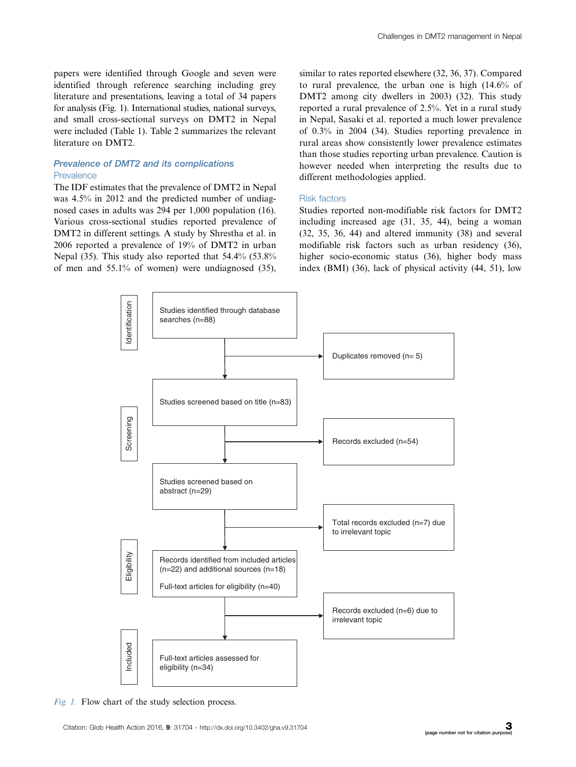papers were identified through Google and seven were identified through reference searching including grey literature and presentations, leaving a total of 34 papers for analysis (Fig. 1). International studies, national surveys, and small cross-sectional surveys on DMT2 in Nepal were included (Table 1). Table 2 summarizes the relevant literature on DMT2.

#### Prevalence of DMT2 and its complications Prevalence

The IDF estimates that the prevalence of DMT2 in Nepal was 4.5% in 2012 and the predicted number of undiagnosed cases in adults was 294 per 1,000 population (16). Various cross-sectional studies reported prevalence of DMT2 in different settings. A study by Shrestha et al. in 2006 reported a prevalence of 19% of DMT2 in urban Nepal (35). This study also reported that 54.4% (53.8% of men and 55.1% of women) were undiagnosed (35),

similar to rates reported elsewhere (32, 36, 37). Compared to rural prevalence, the urban one is high (14.6% of DMT2 among city dwellers in 2003) (32). This study reported a rural prevalence of 2.5%. Yet in a rural study in Nepal, Sasaki et al. reported a much lower prevalence of 0.3% in 2004 (34). Studies reporting prevalence in rural areas show consistently lower prevalence estimates than those studies reporting urban prevalence. Caution is however needed when interpreting the results due to different methodologies applied.

#### Risk factors

Studies reported non-modifiable risk factors for DMT2 including increased age (31, 35, 44), being a woman (32, 35, 36, 44) and altered immunity (38) and several modifiable risk factors such as urban residency (36), higher socio-economic status (36), higher body mass index (BMI) (36), lack of physical activity (44, 51), low



Fig. 1. Flow chart of the study selection process.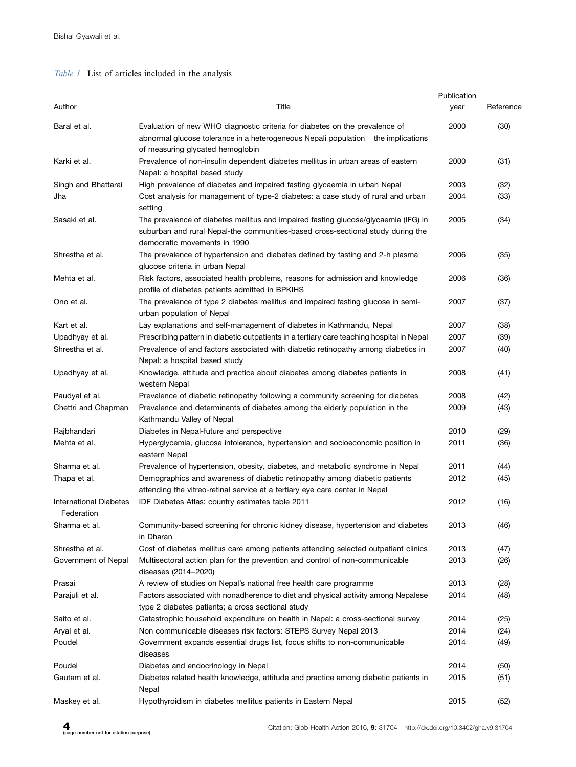# Table 1. List of articles included in the analysis

| Author                               | Title                                                                                                                                                                                                  | Publication<br>year | Reference |
|--------------------------------------|--------------------------------------------------------------------------------------------------------------------------------------------------------------------------------------------------------|---------------------|-----------|
| Baral et al.                         | Evaluation of new WHO diagnostic criteria for diabetes on the prevalence of<br>abnormal glucose tolerance in a heterogeneous Nepali population $-$ the implications                                    | 2000                | (30)      |
| Karki et al.                         | of measuring glycated hemoglobin<br>Prevalence of non-insulin dependent diabetes mellitus in urban areas of eastern<br>Nepal: a hospital based study                                                   | 2000                | (31)      |
| Singh and Bhattarai                  | High prevalence of diabetes and impaired fasting glycaemia in urban Nepal                                                                                                                              | 2003                | (32)      |
| Jha                                  | Cost analysis for management of type-2 diabetes: a case study of rural and urban<br>setting                                                                                                            | 2004                | (33)      |
| Sasaki et al.                        | The prevalence of diabetes mellitus and impaired fasting glucose/glycaemia (IFG) in<br>suburban and rural Nepal-the communities-based cross-sectional study during the<br>democratic movements in 1990 | 2005                | (34)      |
| Shrestha et al.                      | The prevalence of hypertension and diabetes defined by fasting and 2-h plasma<br>glucose criteria in urban Nepal                                                                                       | 2006                | (35)      |
| Mehta et al.                         | Risk factors, associated health problems, reasons for admission and knowledge<br>profile of diabetes patients admitted in BPKIHS                                                                       | 2006                | (36)      |
| Ono et al.                           | The prevalence of type 2 diabetes mellitus and impaired fasting glucose in semi-<br>urban population of Nepal                                                                                          | 2007                | (37)      |
| Kart et al.                          | Lay explanations and self-management of diabetes in Kathmandu, Nepal                                                                                                                                   | 2007                | (38)      |
| Upadhyay et al.                      | Prescribing pattern in diabetic outpatients in a tertiary care teaching hospital in Nepal                                                                                                              | 2007                | (39)      |
| Shrestha et al.                      | Prevalence of and factors associated with diabetic retinopathy among diabetics in<br>Nepal: a hospital based study                                                                                     | 2007                | (40)      |
| Upadhyay et al.                      | Knowledge, attitude and practice about diabetes among diabetes patients in<br>western Nepal                                                                                                            | 2008                | (41)      |
| Paudyal et al.                       | Prevalence of diabetic retinopathy following a community screening for diabetes                                                                                                                        | 2008                | (42)      |
| Chettri and Chapman                  | Prevalence and determinants of diabetes among the elderly population in the<br>Kathmandu Valley of Nepal                                                                                               | 2009                | (43)      |
| Rajbhandari                          | Diabetes in Nepal-future and perspective                                                                                                                                                               | 2010                | (29)      |
| Mehta et al.                         | Hyperglycemia, glucose intolerance, hypertension and socioeconomic position in<br>eastern Nepal                                                                                                        | 2011                | (36)      |
| Sharma et al.                        | Prevalence of hypertension, obesity, diabetes, and metabolic syndrome in Nepal                                                                                                                         | 2011                | (44)      |
| Thapa et al.                         | Demographics and awareness of diabetic retinopathy among diabetic patients<br>attending the vitreo-retinal service at a tertiary eye care center in Nepal                                              | 2012                | (45)      |
| International Diabetes<br>Federation | IDF Diabetes Atlas: country estimates table 2011                                                                                                                                                       | 2012                | (16)      |
| Sharma et al.                        | Community-based screening for chronic kidney disease, hypertension and diabetes<br>in Dharan                                                                                                           | 2013                | (46)      |
| Shrestha et al.                      | Cost of diabetes mellitus care among patients attending selected outpatient clinics                                                                                                                    | 2013                | (47)      |
| Government of Nepal                  | Multisectoral action plan for the prevention and control of non-communicable<br>diseases (2014-2020)                                                                                                   | 2013                | (26)      |
| Prasai                               | A review of studies on Nepal's national free health care programme                                                                                                                                     | 2013                | (28)      |
| Parajuli et al.                      | Factors associated with nonadherence to diet and physical activity among Nepalese<br>type 2 diabetes patients; a cross sectional study                                                                 | 2014                | (48)      |
| Saito et al.                         | Catastrophic household expenditure on health in Nepal: a cross-sectional survey                                                                                                                        | 2014                | (25)      |
| Aryal et al.                         | Non communicable diseases risk factors: STEPS Survey Nepal 2013                                                                                                                                        | 2014                | (24)      |
| Poudel                               | Government expands essential drugs list, focus shifts to non-communicable<br>diseases                                                                                                                  | 2014                | (49)      |
| Poudel                               | Diabetes and endocrinology in Nepal                                                                                                                                                                    | 2014                | (50)      |
| Gautam et al.                        | Diabetes related health knowledge, attitude and practice among diabetic patients in<br>Nepal                                                                                                           | 2015                | (51)      |
| Maskey et al.                        | Hypothyroidism in diabetes mellitus patients in Eastern Nepal                                                                                                                                          | 2015                | (52)      |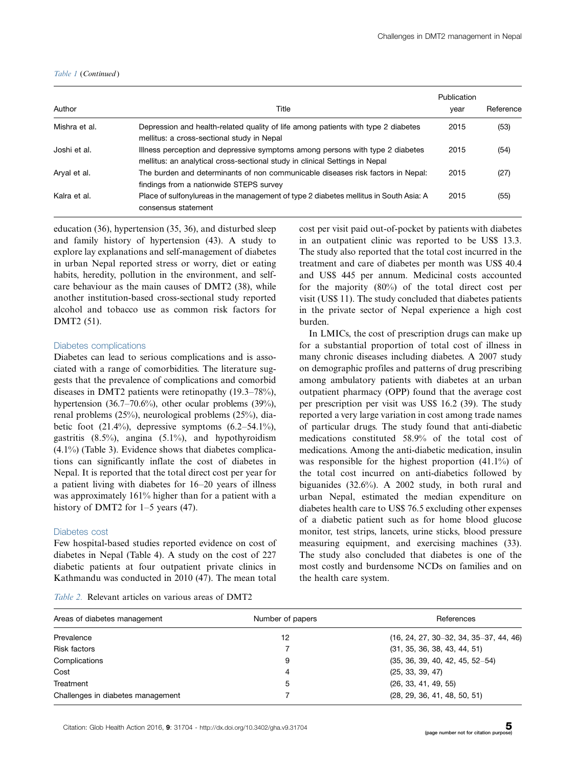#### Table 1 (Continued )

| Author        | Title                                                                                                                                                        | Publication<br>year | Reference |
|---------------|--------------------------------------------------------------------------------------------------------------------------------------------------------------|---------------------|-----------|
| Mishra et al. | Depression and health-related quality of life among patients with type 2 diabetes<br>mellitus: a cross-sectional study in Nepal                              | 2015                | (53)      |
| Joshi et al.  | Illness perception and depressive symptoms among persons with type 2 diabetes<br>mellitus: an analytical cross-sectional study in clinical Settings in Nepal | 2015                | (54)      |
| Aryal et al.  | The burden and determinants of non communicable diseases risk factors in Nepal:<br>findings from a nationwide STEPS survey                                   | 2015                | (27)      |
| Kalra et al.  | Place of sulfonylureas in the management of type 2 diabetes mellitus in South Asia: A<br>consensus statement                                                 | 2015                | (55)      |

education (36), hypertension (35, 36), and disturbed sleep and family history of hypertension (43). A study to explore lay explanations and self-management of diabetes in urban Nepal reported stress or worry, diet or eating habits, heredity, pollution in the environment, and selfcare behaviour as the main causes of DMT2 (38), while another institution-based cross-sectional study reported alcohol and tobacco use as common risk factors for DMT2 (51).

#### Diabetes complications

Diabetes can lead to serious complications and is associated with a range of comorbidities. The literature suggests that the prevalence of complications and comorbid diseases in DMT2 patients were retinopathy (19.3-78%), hypertension (36.7–70.6%), other ocular problems (39%), renal problems (25%), neurological problems (25%), diabetic foot  $(21.4\%)$ , depressive symptoms  $(6.2-54.1\%)$ , gastritis  $(8.5\%)$ , angina  $(5.1\%)$ , and hypothyroidism (4.1%) (Table 3). Evidence shows that diabetes complications can significantly inflate the cost of diabetes in Nepal. It is reported that the total direct cost per year for a patient living with diabetes for 16-20 years of illness was approximately 161% higher than for a patient with a history of DMT2 for 1-5 years (47).

#### Diabetes cost

Few hospital-based studies reported evidence on cost of diabetes in Nepal (Table 4). A study on the cost of 227 diabetic patients at four outpatient private clinics in Kathmandu was conducted in 2010 (47). The mean total

|  | <i>Table 2.</i> Relevant articles on various areas of DMT2 |  |  |  |
|--|------------------------------------------------------------|--|--|--|
|  |                                                            |  |  |  |

cost per visit paid out-of-pocket by patients with diabetes in an outpatient clinic was reported to be US\$ 13.3. The study also reported that the total cost incurred in the treatment and care of diabetes per month was US\$ 40.4 and US\$ 445 per annum. Medicinal costs accounted for the majority (80%) of the total direct cost per visit (US\$ 11). The study concluded that diabetes patients in the private sector of Nepal experience a high cost burden.

In LMICs, the cost of prescription drugs can make up for a substantial proportion of total cost of illness in many chronic diseases including diabetes. A 2007 study on demographic profiles and patterns of drug prescribing among ambulatory patients with diabetes at an urban outpatient pharmacy (OPP) found that the average cost per prescription per visit was US\$ 16.2 (39). The study reported a very large variation in cost among trade names of particular drugs. The study found that anti-diabetic medications constituted 58.9% of the total cost of medications. Among the anti-diabetic medication, insulin was responsible for the highest proportion (41.1%) of the total cost incurred on anti-diabetics followed by biguanides (32.6%). A 2002 study, in both rural and urban Nepal, estimated the median expenditure on diabetes health care to US\$ 76.5 excluding other expenses of a diabetic patient such as for home blood glucose monitor, test strips, lancets, urine sticks, blood pressure measuring equipment, and exercising machines (33). The study also concluded that diabetes is one of the most costly and burdensome NCDs on families and on the health care system.

| Areas of diabetes management      | Number of papers | References                               |
|-----------------------------------|------------------|------------------------------------------|
| Prevalence                        | 12               | $(16, 24, 27, 30-32, 34, 35-37, 44, 46)$ |
| <b>Risk factors</b>               |                  | (31, 35, 36, 38, 43, 44, 51)             |
| Complications                     | 9                | $(35, 36, 39, 40, 42, 45, 52-54)$        |
| Cost                              | 4                | (25, 33, 39, 47)                         |
| Treatment                         | 5                | (26, 33, 41, 49, 55)                     |
| Challenges in diabetes management |                  | (28, 29, 36, 41, 48, 50, 51)             |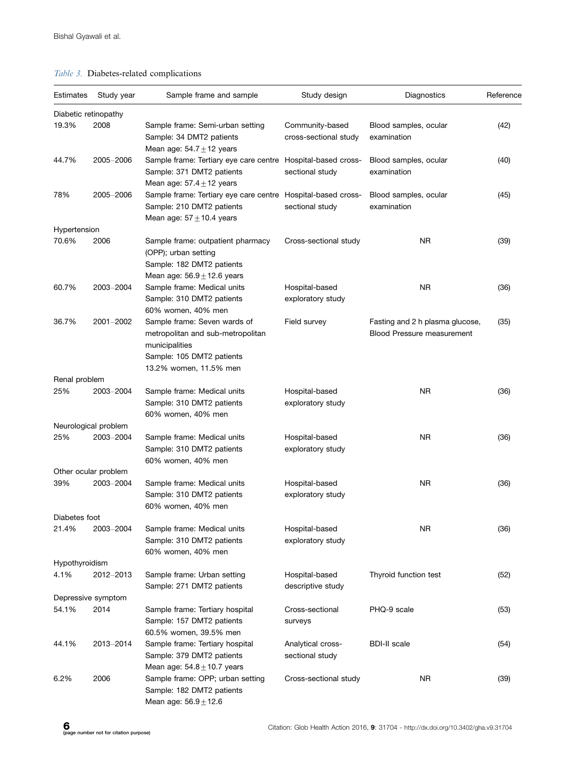# Table 3. Diabetes-related complications

| Estimates            | Study year           | Sample frame and sample                                                                                                                    | Study design                             | Diagnostics                                                          | Reference |
|----------------------|----------------------|--------------------------------------------------------------------------------------------------------------------------------------------|------------------------------------------|----------------------------------------------------------------------|-----------|
| Diabetic retinopathy |                      |                                                                                                                                            |                                          |                                                                      |           |
| 19.3%                | 2008                 | Sample frame: Semi-urban setting<br>Sample: 34 DMT2 patients<br>Mean age: $54.7 \pm 12$ years                                              | Community-based<br>cross-sectional study | Blood samples, ocular<br>examination                                 | (42)      |
| 44.7%                | 2005-2006            | Sample frame: Tertiary eye care centre<br>Sample: 371 DMT2 patients<br>Mean age: $57.4 \pm 12$ years                                       | Hospital-based cross-<br>sectional study | Blood samples, ocular<br>examination                                 | (40)      |
| 78%                  | 2005-2006            | Sample frame: Tertiary eye care centre Hospital-based cross-<br>Sample: 210 DMT2 patients<br>Mean age: $57 + 10.4$ years                   | sectional study                          | Blood samples, ocular<br>examination                                 | (45)      |
| Hypertension         |                      |                                                                                                                                            |                                          |                                                                      |           |
| 70.6%                | 2006                 | Sample frame: outpatient pharmacy<br>(OPP); urban setting<br>Sample: 182 DMT2 patients                                                     | Cross-sectional study                    | NR.                                                                  | (39)      |
| 60.7%                | 2003-2004            | Mean age: $56.9 \pm 12.6$ years<br>Sample frame: Medical units<br>Sample: 310 DMT2 patients<br>60% women, 40% men                          | Hospital-based<br>exploratory study      | NR                                                                   | (36)      |
| 36.7%                | 2001-2002            | Sample frame: Seven wards of<br>metropolitan and sub-metropolitan<br>municipalities<br>Sample: 105 DMT2 patients<br>13.2% women, 11.5% men | Field survey                             | Fasting and 2 h plasma glucose,<br><b>Blood Pressure measurement</b> | (35)      |
| Renal problem        |                      |                                                                                                                                            |                                          |                                                                      |           |
| 25%                  | 2003-2004            | Sample frame: Medical units<br>Sample: 310 DMT2 patients<br>60% women, 40% men                                                             | Hospital-based<br>exploratory study      | NR.                                                                  | (36)      |
|                      | Neurological problem |                                                                                                                                            |                                          |                                                                      |           |
| 25%                  | 2003-2004            | Sample frame: Medical units<br>Sample: 310 DMT2 patients<br>60% women, 40% men                                                             | Hospital-based<br>exploratory study      | ΝR                                                                   | (36)      |
|                      | Other ocular problem |                                                                                                                                            |                                          |                                                                      |           |
| 39%                  | 2003-2004            | Sample frame: Medical units<br>Sample: 310 DMT2 patients<br>60% women, 40% men                                                             | Hospital-based<br>exploratory study      | NR                                                                   | (36)      |
| Diabetes foot        |                      |                                                                                                                                            |                                          |                                                                      |           |
| 21.4%                | 2003-2004            | Sample frame: Medical units<br>Sample: 310 DMT2 patients<br>60% women, 40% men                                                             | Hospital-based<br>exploratory study      | ΝR                                                                   | (36)      |
| Hypothyroidism       |                      |                                                                                                                                            |                                          |                                                                      |           |
| 4.1%                 | 2012-2013            | Sample frame: Urban setting<br>Sample: 271 DMT2 patients                                                                                   | Hospital-based<br>descriptive study      | Thyroid function test                                                | (52)      |
|                      | Depressive symptom   |                                                                                                                                            |                                          |                                                                      |           |
| 54.1%                | 2014                 | Sample frame: Tertiary hospital<br>Sample: 157 DMT2 patients<br>60.5% women, 39.5% men                                                     | Cross-sectional<br>surveys               | PHQ-9 scale                                                          | (53)      |
| 44.1%                | 2013-2014            | Sample frame: Tertiary hospital<br>Sample: 379 DMT2 patients<br>Mean age: $54.8 \pm 10.7$ years                                            | Analytical cross-<br>sectional study     | <b>BDI-II</b> scale                                                  | (54)      |
| 6.2%                 | 2006                 | Sample frame: OPP; urban setting<br>Sample: 182 DMT2 patients<br>Mean age: $56.9 \pm 12.6$                                                 | Cross-sectional study                    | NR.                                                                  | (39)      |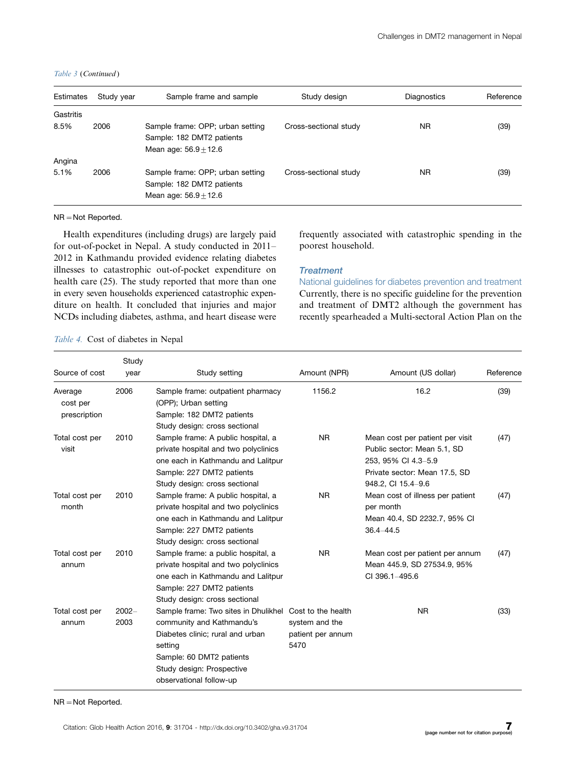|  |  | Table 3 (Continued) |
|--|--|---------------------|
|--|--|---------------------|

| Estimates | Study year | Sample frame and sample                                                                  | Study design          | <b>Diagnostics</b> | Reference |
|-----------|------------|------------------------------------------------------------------------------------------|-----------------------|--------------------|-----------|
| Gastritis |            |                                                                                          |                       |                    |           |
| 8.5%      | 2006       | Sample frame: OPP; urban setting<br>Sample: 182 DMT2 patients<br>Mean age: $56.9 + 12.6$ | Cross-sectional study | NR.                | (39)      |
| Angina    |            |                                                                                          |                       |                    |           |
| 5.1%      | 2006       | Sample frame: OPP; urban setting<br>Sample: 182 DMT2 patients<br>Mean age: $56.9 + 12.6$ | Cross-sectional study | NR.                | (39)      |

 $NR = Not$  Reported.

Health expenditures (including drugs) are largely paid for out-of-pocket in Nepal. A study conducted in 2011- 2012 in Kathmandu provided evidence relating diabetes illnesses to catastrophic out-of-pocket expenditure on health care (25). The study reported that more than one in every seven households experienced catastrophic expenditure on health. It concluded that injuries and major NCDs including diabetes, asthma, and heart disease were frequently associated with catastrophic spending in the poorest household.

#### **Treatment**

National guidelines for diabetes prevention and treatment Currently, there is no specific guideline for the prevention and treatment of DMT2 although the government has recently spearheaded a Multi-sectoral Action Plan on the

Table 4. Cost of diabetes in Nepal

| Source of cost                      | Study<br>year    | Study setting                                                                                                                                                                                        | Amount (NPR)                                                      | Amount (US dollar)                                                                                                                           | Reference |
|-------------------------------------|------------------|------------------------------------------------------------------------------------------------------------------------------------------------------------------------------------------------------|-------------------------------------------------------------------|----------------------------------------------------------------------------------------------------------------------------------------------|-----------|
| Average<br>cost per<br>prescription | 2006             | Sample frame: outpatient pharmacy<br>(OPP); Urban setting<br>Sample: 182 DMT2 patients<br>Study design: cross sectional                                                                              | 1156.2                                                            | 16.2                                                                                                                                         | (39)      |
| Total cost per<br>visit             | 2010             | Sample frame: A public hospital, a<br>private hospital and two polyclinics<br>one each in Kathmandu and Lalitpur<br>Sample: 227 DMT2 patients<br>Study design: cross sectional                       | <b>NR</b>                                                         | Mean cost per patient per visit<br>Public sector: Mean 5.1, SD<br>253, 95% CI 4.3-5.9<br>Private sector: Mean 17.5, SD<br>948.2, CI 15.4-9.6 | (47)      |
| Total cost per<br>month             | 2010             | Sample frame: A public hospital, a<br>private hospital and two polyclinics<br>one each in Kathmandu and Lalitpur<br>Sample: 227 DMT2 patients<br>Study design: cross sectional                       | <b>NR</b>                                                         | Mean cost of illness per patient<br>per month<br>Mean 40.4, SD 2232.7, 95% CI<br>$36.4 - 44.5$                                               | (47)      |
| Total cost per<br>annum             | 2010             | Sample frame: a public hospital, a<br>private hospital and two polyclinics<br>one each in Kathmandu and Lalitpur<br>Sample: 227 DMT2 patients<br>Study design: cross sectional                       | <b>NR</b>                                                         | Mean cost per patient per annum<br>Mean 445.9, SD 27534.9, 95%<br>CI 396.1-495.6                                                             | (47)      |
| Total cost per<br>annum             | $2002 -$<br>2003 | Sample frame: Two sites in Dhulikhel<br>community and Kathmandu's<br>Diabetes clinic; rural and urban<br>setting<br>Sample: 60 DMT2 patients<br>Study design: Prospective<br>observational follow-up | Cost to the health<br>system and the<br>patient per annum<br>5470 | <b>NR</b>                                                                                                                                    | (33)      |

 $NR = Not$  Reported.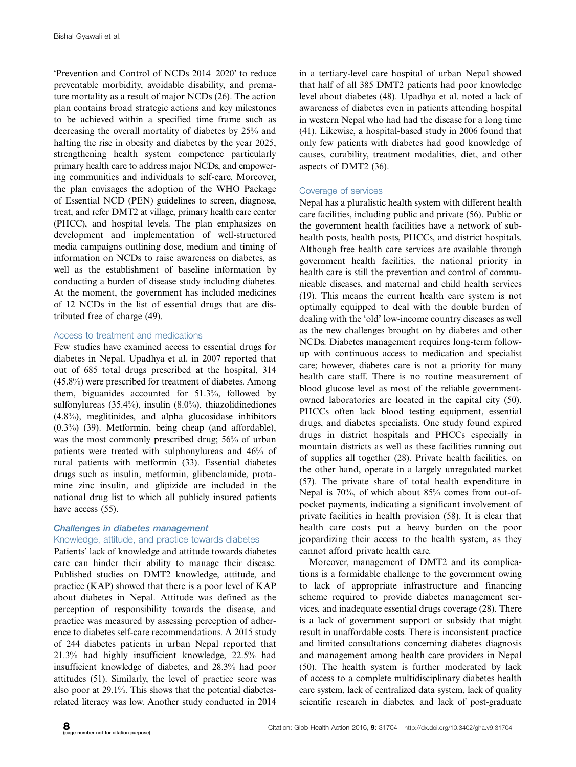'Prevention and Control of NCDs 2014-2020' to reduce preventable morbidity, avoidable disability, and premature mortality as a result of major NCDs (26). The action plan contains broad strategic actions and key milestones to be achieved within a specified time frame such as decreasing the overall mortality of diabetes by 25% and halting the rise in obesity and diabetes by the year 2025, strengthening health system competence particularly primary health care to address major NCDs, and empowering communities and individuals to self-care. Moreover, the plan envisages the adoption of the WHO Package of Essential NCD (PEN) guidelines to screen, diagnose, treat, and refer DMT2 at village, primary health care center (PHCC), and hospital levels. The plan emphasizes on development and implementation of well-structured media campaigns outlining dose, medium and timing of information on NCDs to raise awareness on diabetes, as well as the establishment of baseline information by conducting a burden of disease study including diabetes. At the moment, the government has included medicines of 12 NCDs in the list of essential drugs that are distributed free of charge (49).

#### Access to treatment and medications

Few studies have examined access to essential drugs for diabetes in Nepal. Upadhya et al. in 2007 reported that out of 685 total drugs prescribed at the hospital, 314 (45.8%) were prescribed for treatment of diabetes. Among them, biguanides accounted for 51.3%, followed by sulfonylureas (35.4%), insulin (8.0%), thiazolidinediones (4.8%), meglitinides, and alpha glucosidase inhibitors (0.3%) (39). Metformin, being cheap (and affordable), was the most commonly prescribed drug; 56% of urban patients were treated with sulphonylureas and 46% of rural patients with metformin (33). Essential diabetes drugs such as insulin, metformin, glibenclamide, protamine zinc insulin, and glipizide are included in the national drug list to which all publicly insured patients have access (55).

# Challenges in diabetes management

# Knowledge, attitude, and practice towards diabetes

Patients' lack of knowledge and attitude towards diabetes care can hinder their ability to manage their disease. Published studies on DMT2 knowledge, attitude, and practice (KAP) showed that there is a poor level of KAP about diabetes in Nepal. Attitude was defined as the perception of responsibility towards the disease, and practice was measured by assessing perception of adherence to diabetes self-care recommendations. A 2015 study of 244 diabetes patients in urban Nepal reported that 21.3% had highly insufficient knowledge, 22.5% had insufficient knowledge of diabetes, and 28.3% had poor attitudes (51). Similarly, the level of practice score was also poor at 29.1%. This shows that the potential diabetesrelated literacy was low. Another study conducted in 2014 in a tertiary-level care hospital of urban Nepal showed that half of all 385 DMT2 patients had poor knowledge level about diabetes (48). Upadhya et al. noted a lack of awareness of diabetes even in patients attending hospital in western Nepal who had had the disease for a long time (41). Likewise, a hospital-based study in 2006 found that only few patients with diabetes had good knowledge of causes, curability, treatment modalities, diet, and other aspects of DMT2 (36).

#### Coverage of services

Nepal has a pluralistic health system with different health care facilities, including public and private (56). Public or the government health facilities have a network of subhealth posts, health posts, PHCCs, and district hospitals. Although free health care services are available through government health facilities, the national priority in health care is still the prevention and control of communicable diseases, and maternal and child health services (19). This means the current health care system is not optimally equipped to deal with the double burden of dealing with the 'old' low-income country diseases as well as the new challenges brought on by diabetes and other NCDs. Diabetes management requires long-term followup with continuous access to medication and specialist care; however, diabetes care is not a priority for many health care staff. There is no routine measurement of blood glucose level as most of the reliable governmentowned laboratories are located in the capital city (50). PHCCs often lack blood testing equipment, essential drugs, and diabetes specialists. One study found expired drugs in district hospitals and PHCCs especially in mountain districts as well as these facilities running out of supplies all together (28). Private health facilities, on the other hand, operate in a largely unregulated market (57). The private share of total health expenditure in Nepal is 70%, of which about 85% comes from out-ofpocket payments, indicating a significant involvement of private facilities in health provision (58). It is clear that health care costs put a heavy burden on the poor jeopardizing their access to the health system, as they cannot afford private health care.

Moreover, management of DMT2 and its complications is a formidable challenge to the government owing to lack of appropriate infrastructure and financing scheme required to provide diabetes management services, and inadequate essential drugs coverage (28). There is a lack of government support or subsidy that might result in unaffordable costs. There is inconsistent practice and limited consultations concerning diabetes diagnosis and management among health care providers in Nepal (50). The health system is further moderated by lack of access to a complete multidisciplinary diabetes health care system, lack of centralized data system, lack of quality scientific research in diabetes, and lack of post-graduate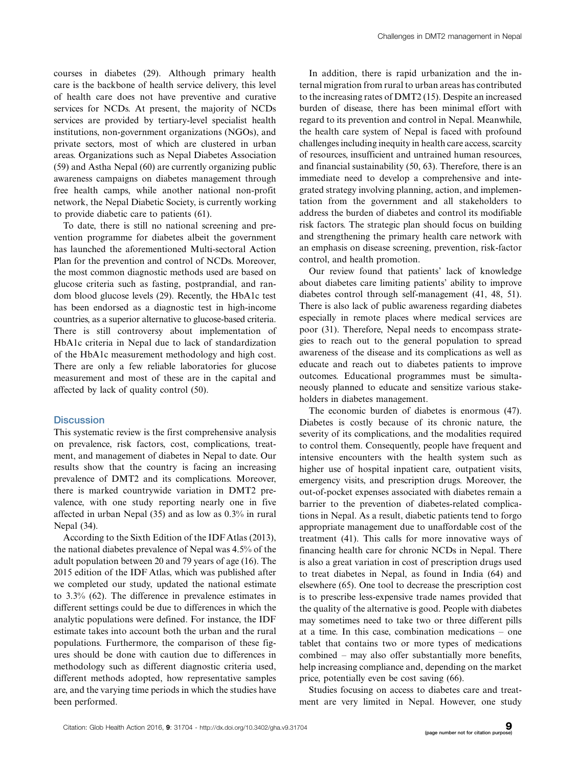courses in diabetes (29). Although primary health care is the backbone of health service delivery, this level of health care does not have preventive and curative services for NCDs. At present, the majority of NCDs services are provided by tertiary-level specialist health institutions, non-government organizations (NGOs), and private sectors, most of which are clustered in urban areas. Organizations such as Nepal Diabetes Association (59) and Astha Nepal (60) are currently organizing public awareness campaigns on diabetes management through free health camps, while another national non-profit network, the Nepal Diabetic Society, is currently working to provide diabetic care to patients (61).

To date, there is still no national screening and prevention programme for diabetes albeit the government has launched the aforementioned Multi-sectoral Action Plan for the prevention and control of NCDs. Moreover, the most common diagnostic methods used are based on glucose criteria such as fasting, postprandial, and random blood glucose levels (29). Recently, the HbA1c test has been endorsed as a diagnostic test in high-income countries, as a superior alternative to glucose-based criteria. There is still controversy about implementation of HbA1c criteria in Nepal due to lack of standardization of the HbA1c measurement methodology and high cost. There are only a few reliable laboratories for glucose measurement and most of these are in the capital and affected by lack of quality control (50).

#### **Discussion**

This systematic review is the first comprehensive analysis on prevalence, risk factors, cost, complications, treatment, and management of diabetes in Nepal to date. Our results show that the country is facing an increasing prevalence of DMT2 and its complications. Moreover, there is marked countrywide variation in DMT2 prevalence, with one study reporting nearly one in five affected in urban Nepal (35) and as low as 0.3% in rural Nepal (34).

According to the Sixth Edition of the IDFAtlas (2013), the national diabetes prevalence of Nepal was 4.5% of the adult population between 20 and 79 years of age (16). The 2015 edition of the IDF Atlas, which was published after we completed our study, updated the national estimate to 3.3% (62). The difference in prevalence estimates in different settings could be due to differences in which the analytic populations were defined. For instance, the IDF estimate takes into account both the urban and the rural populations. Furthermore, the comparison of these figures should be done with caution due to differences in methodology such as different diagnostic criteria used, different methods adopted, how representative samples are, and the varying time periods in which the studies have been performed.

In addition, there is rapid urbanization and the internal migration from rural to urban areas has contributed to the increasing rates of DMT2 (15). Despite an increased burden of disease, there has been minimal effort with regard to its prevention and control in Nepal. Meanwhile, the health care system of Nepal is faced with profound challenges including inequity in health care access, scarcity of resources, insufficient and untrained human resources, and financial sustainability (50, 63). Therefore, there is an immediate need to develop a comprehensive and integrated strategy involving planning, action, and implementation from the government and all stakeholders to address the burden of diabetes and control its modifiable risk factors. The strategic plan should focus on building and strengthening the primary health care network with an emphasis on disease screening, prevention, risk-factor control, and health promotion.

Our review found that patients' lack of knowledge about diabetes care limiting patients' ability to improve diabetes control through self-management (41, 48, 51). There is also lack of public awareness regarding diabetes especially in remote places where medical services are poor (31). Therefore, Nepal needs to encompass strategies to reach out to the general population to spread awareness of the disease and its complications as well as educate and reach out to diabetes patients to improve outcomes. Educational programmes must be simultaneously planned to educate and sensitize various stakeholders in diabetes management.

The economic burden of diabetes is enormous (47). Diabetes is costly because of its chronic nature, the severity of its complications, and the modalities required to control them. Consequently, people have frequent and intensive encounters with the health system such as higher use of hospital inpatient care, outpatient visits, emergency visits, and prescription drugs. Moreover, the out-of-pocket expenses associated with diabetes remain a barrier to the prevention of diabetes-related complications in Nepal. As a result, diabetic patients tend to forgo appropriate management due to unaffordable cost of the treatment (41). This calls for more innovative ways of financing health care for chronic NCDs in Nepal. There is also a great variation in cost of prescription drugs used to treat diabetes in Nepal, as found in India (64) and elsewhere (65). One tool to decrease the prescription cost is to prescribe less-expensive trade names provided that the quality of the alternative is good. People with diabetes may sometimes need to take two or three different pills at a time. In this case, combination medications - one tablet that contains two or more types of medications combined - may also offer substantially more benefits, help increasing compliance and, depending on the market price, potentially even be cost saving (66).

Studies focusing on access to diabetes care and treatment are very limited in Nepal. However, one study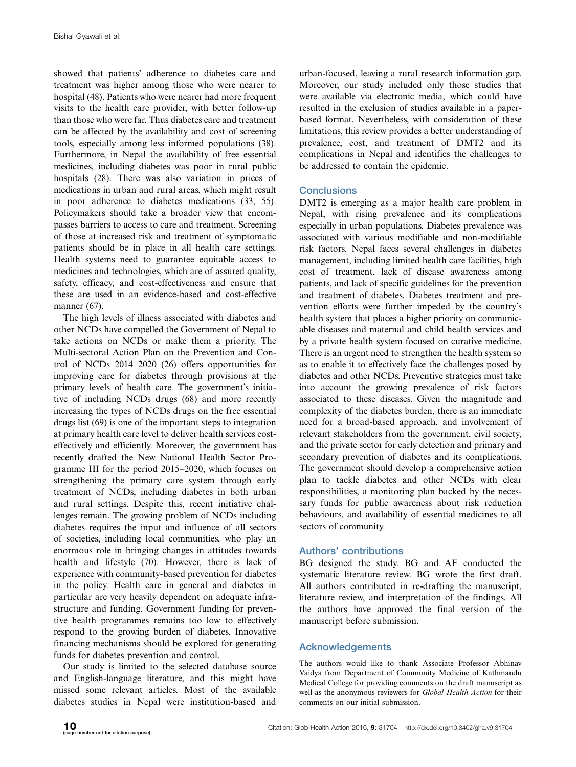showed that patients' adherence to diabetes care and treatment was higher among those who were nearer to hospital (48). Patients who were nearer had more frequent visits to the health care provider, with better follow-up than those who were far. Thus diabetes care and treatment can be affected by the availability and cost of screening tools, especially among less informed populations (38). Furthermore, in Nepal the availability of free essential medicines, including diabetes was poor in rural public hospitals (28). There was also variation in prices of medications in urban and rural areas, which might result in poor adherence to diabetes medications (33, 55). Policymakers should take a broader view that encompasses barriers to access to care and treatment. Screening of those at increased risk and treatment of symptomatic patients should be in place in all health care settings. Health systems need to guarantee equitable access to medicines and technologies, which are of assured quality, safety, efficacy, and cost-effectiveness and ensure that these are used in an evidence-based and cost-effective manner (67).

The high levels of illness associated with diabetes and other NCDs have compelled the Government of Nepal to take actions on NCDs or make them a priority. The Multi-sectoral Action Plan on the Prevention and Control of NCDs 2014-2020 (26) offers opportunities for improving care for diabetes through provisions at the primary levels of health care. The government's initiative of including NCDs drugs (68) and more recently increasing the types of NCDs drugs on the free essential drugs list (69) is one of the important steps to integration at primary health care level to deliver health services costeffectively and efficiently. Moreover, the government has recently drafted the New National Health Sector Programme III for the period 2015-2020, which focuses on strengthening the primary care system through early treatment of NCDs, including diabetes in both urban and rural settings. Despite this, recent initiative challenges remain. The growing problem of NCDs including diabetes requires the input and influence of all sectors of societies, including local communities, who play an enormous role in bringing changes in attitudes towards health and lifestyle (70). However, there is lack of experience with community-based prevention for diabetes in the policy. Health care in general and diabetes in particular are very heavily dependent on adequate infrastructure and funding. Government funding for preventive health programmes remains too low to effectively respond to the growing burden of diabetes. Innovative financing mechanisms should be explored for generating funds for diabetes prevention and control.

Our study is limited to the selected database source and English-language literature, and this might have missed some relevant articles. Most of the available diabetes studies in Nepal were institution-based and

urban-focused, leaving a rural research information gap. Moreover, our study included only those studies that were available via electronic media, which could have resulted in the exclusion of studies available in a paperbased format. Nevertheless, with consideration of these limitations, this review provides a better understanding of prevalence, cost, and treatment of DMT2 and its complications in Nepal and identifies the challenges to be addressed to contain the epidemic.

#### **Conclusions**

DMT2 is emerging as a major health care problem in Nepal, with rising prevalence and its complications especially in urban populations. Diabetes prevalence was associated with various modifiable and non-modifiable risk factors. Nepal faces several challenges in diabetes management, including limited health care facilities, high cost of treatment, lack of disease awareness among patients, and lack of specific guidelines for the prevention and treatment of diabetes. Diabetes treatment and prevention efforts were further impeded by the country's health system that places a higher priority on communicable diseases and maternal and child health services and by a private health system focused on curative medicine. There is an urgent need to strengthen the health system so as to enable it to effectively face the challenges posed by diabetes and other NCDs. Preventive strategies must take into account the growing prevalence of risk factors associated to these diseases. Given the magnitude and complexity of the diabetes burden, there is an immediate need for a broad-based approach, and involvement of relevant stakeholders from the government, civil society, and the private sector for early detection and primary and secondary prevention of diabetes and its complications. The government should develop a comprehensive action plan to tackle diabetes and other NCDs with clear responsibilities, a monitoring plan backed by the necessary funds for public awareness about risk reduction behaviours, and availability of essential medicines to all sectors of community.

# Authors' contributions

BG designed the study. BG and AF conducted the systematic literature review. BG wrote the first draft. All authors contributed in re-drafting the manuscript, literature review, and interpretation of the findings. All the authors have approved the final version of the manuscript before submission.

# Acknowledgements

The authors would like to thank Associate Professor Abhinav Vaidya from Department of Community Medicine of Kathmandu Medical College for providing comments on the draft manuscript as well as the anonymous reviewers for Global Health Action for their comments on our initial submission.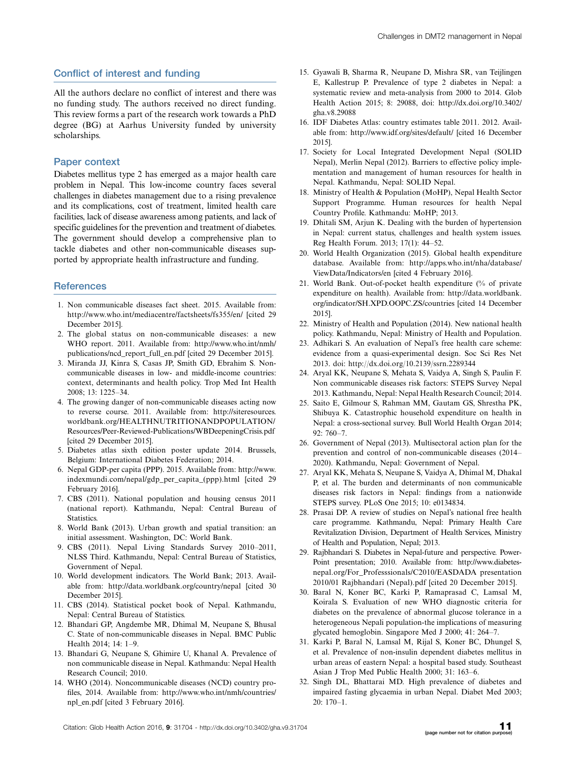# Conflict of interest and funding

All the authors declare no conflict of interest and there was no funding study. The authors received no direct funding. This review forms a part of the research work towards a PhD degree (BG) at Aarhus University funded by university scholarships.

#### Paper context

Diabetes mellitus type 2 has emerged as a major health care problem in Nepal. This low-income country faces several challenges in diabetes management due to a rising prevalence and its complications, cost of treatment, limited health care facilities, lack of disease awareness among patients, and lack of specific guidelines for the prevention and treatment of diabetes. The government should develop a comprehensive plan to tackle diabetes and other non-communicable diseases supported by appropriate health infrastructure and funding.

#### **References**

- 1. Non communicable diseases fact sheet. 2015. Available from: <http://www.who.int/mediacentre/factsheets/fs355/en/> [cited 29 December 2015].
- 2. The global status on non-communicable diseases: a new WHO report. 2011. Available from: [http://www.who.int/nmh/](http://www.who.int/nmh/publications/ncd_report_full_en.pdf) [publications/ncd\\_report\\_full\\_en.pdf](http://www.who.int/nmh/publications/ncd_report_full_en.pdf) [cited 29 December 2015].
- 3. Miranda JJ, Kinra S, Casas JP, Smith GD, Ebrahim S. Noncommunicable diseases in low- and middle-income countries: context, determinants and health policy. Trop Med Int Health 2008; 13: 1225-34.
- 4. The growing danger of non-communicable diseases acting now to reverse course. 2011. Available from: [http://siteresources.](http://siteresources.worldbank.org/HEALTHNUTRITIONANDPOPULATION/Resources/Peer-Reviewed-Publications/WBDeepeningCrisis.pdf) [worldbank.org/HEALTHNUTRITIONANDPOPULATION/](http://siteresources.worldbank.org/HEALTHNUTRITIONANDPOPULATION/Resources/Peer-Reviewed-Publications/WBDeepeningCrisis.pdf) [Resources/Peer-Reviewed-Publications/WBDeepeningCrisis.pdf](http://siteresources.worldbank.org/HEALTHNUTRITIONANDPOPULATION/Resources/Peer-Reviewed-Publications/WBDeepeningCrisis.pdf) [cited 29 December 2015].
- 5. Diabetes atlas sixth edition poster update 2014. Brussels, Belgium: International Diabetes Federation; 2014.
- 6. Nepal GDP-per capita (PPP). 2015. Available from: [http://www.](http://www.indexmundi.com/nepal/gdp_per_capita_(ppp).html) [indexmundi.com/nepal/gdp\\_per\\_capita\\_\(ppp\)](http://www.indexmundi.com/nepal/gdp_per_capita_(ppp).html).html [cited 29 February 2016].
- 7. CBS (2011). National population and housing census 2011 (national report). Kathmandu, Nepal: Central Bureau of Statistics.
- 8. World Bank (2013). Urban growth and spatial transition: an initial assessment. Washington, DC: World Bank.
- 9. CBS (2011). Nepal Living Standards Survey 2010-2011, NLSS Third. Kathmandu, Nepal: Central Bureau of Statistics, Government of Nepal.
- 10. World development indicators. The World Bank; 2013. Available from:<http://data.worldbank.org/country/nepal> [cited 30 December 2015].
- 11. CBS (2014). Statistical pocket book of Nepal. Kathmandu, Nepal: Central Bureau of Statistics.
- 12. Bhandari GP, Angdembe MR, Dhimal M, Neupane S, Bhusal C. State of non-communicable diseases in Nepal. BMC Public Health 2014; 14: 1-9.
- 13. Bhandari G, Neupane S, Ghimire U, Khanal A. Prevalence of non communicable disease in Nepal. Kathmandu: Nepal Health Research Council; 2010.
- 14. WHO (2014). Noncommunicable diseases (NCD) country profiles, 2014. Available from: [http://www.who.int/nmh/countries/](http://www.who.int/nmh/countries/npl_en.pdf) [npl\\_en.pdf](http://www.who.int/nmh/countries/npl_en.pdf) [cited 3 February 2016].
- 15. Gyawali B, Sharma R, Neupane D, Mishra SR, van Teijlingen E, Kallestrup P. Prevalence of type 2 diabetes in Nepal: a systematic review and meta-analysis from 2000 to 2014. Glob Health Action 2015; 8: 29088, doi: [http://dx.doi.org/10.3402/](http://dx.doi.org/10.3402/gha.v8.29088) [gha.v8.29088](http://dx.doi.org/10.3402/gha.v8.29088)
- 16. IDF Diabetes Atlas: country estimates table 2011. 2012. Available from:<http://www.idf.org/sites/default/> [cited 16 December 2015].
- 17. Society for Local Integrated Development Nepal (SOLID Nepal), Merlin Nepal (2012). Barriers to effective policy implementation and management of human resources for health in Nepal. Kathmandu, Nepal: SOLID Nepal.
- 18. Ministry of Health & Population (MoHP), Nepal Health Sector Support Programme. Human resources for health Nepal Country Profile. Kathmandu: MoHP; 2013.
- 19. Dhitali SM, Arjun K. Dealing with the burden of hypertension in Nepal: current status, challenges and health system issues. Reg Health Forum. 2013; 17(1): 44-52.
- 20. World Health Organization (2015). Global health expenditure database. Available from: [http://apps.who.int/nha/database/](http://apps.who.int/nha/database/ViewData/Indicators/en) [ViewData/Indicators/en](http://apps.who.int/nha/database/ViewData/Indicators/en) [cited 4 February 2016].
- 21. World Bank. Out-of-pocket health expenditure (% of private expenditure on health). Available from: [http://data.worldbank.](http://data.worldbank.org/indicator/SH.XPD.OOPC.ZS/countries) [org/indicator/SH.XPD.OOPC.ZS/countries](http://data.worldbank.org/indicator/SH.XPD.OOPC.ZS/countries) [cited 14 December 2015].
- 22. Ministry of Health and Population (2014). New national health policy. Kathmandu, Nepal: Ministry of Health and Population.
- 23. Adhikari S. An evaluation of Nepal's free health care scheme: evidence from a quasi-experimental design. Soc Sci Res Net 2013. doi:<http://dx.doi.org/10.2139/ssrn.2289344>
- 24. Aryal KK, Neupane S, Mehata S, Vaidya A, Singh S, Paulin F. Non communicable diseases risk factors: STEPS Survey Nepal 2013. Kathmandu, Nepal: Nepal Health Research Council; 2014.
- 25. Saito E, Gilmour S, Rahman MM, Gautam GS, Shrestha PK, Shibuya K. Catastrophic household expenditure on health in Nepal: a cross-sectional survey. Bull World Health Organ 2014; 92: 760-7.
- 26. Government of Nepal (2013). Multisectoral action plan for the prevention and control of non-communicable diseases (2014- 2020). Kathmandu, Nepal: Government of Nepal.
- 27. Aryal KK, Mehata S, Neupane S, Vaidya A, Dhimal M, Dhakal P, et al. The burden and determinants of non communicable diseases risk factors in Nepal: findings from a nationwide STEPS survey. PLoS One 2015; 10: e0134834.
- 28. Prasai DP. A review of studies on Nepal's national free health care programme. Kathmandu, Nepal: Primary Health Care Revitalization Division, Department of Health Services, Ministry of Health and Population, Nepal; 2013.
- 29. Rajbhandari S. Diabetes in Nepal-future and perspective. Power-Point presentation; 2010. Available from: [http://www.diabetes](http://www.diabetes-nepal.org/For_Professionals/C2010/EASDADA%20presentation%202010/01%20Rajbhandari%20(Nepal).pdf)[nepal.org/For\\_Professsionals/C2010/EASDADA presentation](http://www.diabetes-nepal.org/For_Professionals/C2010/EASDADA%20presentation%202010/01%20Rajbhandari%20(Nepal).pdf) [2010/01 Rajbhandari \(Nepal\).pdf](http://www.diabetes-nepal.org/For_Professionals/C2010/EASDADA%20presentation%202010/01%20Rajbhandari%20(Nepal).pdf) [cited 20 December 2015].
- 30. Baral N, Koner BC, Karki P, Ramaprasad C, Lamsal M, Koirala S. Evaluation of new WHO diagnostic criteria for diabetes on the prevalence of abnormal glucose tolerance in a heterogeneous Nepali population-the implications of measuring glycated hemoglobin. Singapore Med J 2000; 41: 264-7.
- 31. Karki P, Baral N, Lamsal M, Rijal S, Koner BC, Dhungel S, et al. Prevalence of non-insulin dependent diabetes mellitus in urban areas of eastern Nepal: a hospital based study. Southeast Asian J Trop Med Public Health 2000; 31: 163-6.
- 32. Singh DL, Bhattarai MD. High prevalence of diabetes and impaired fasting glycaemia in urban Nepal. Diabet Med 2003; 20: 170-1.